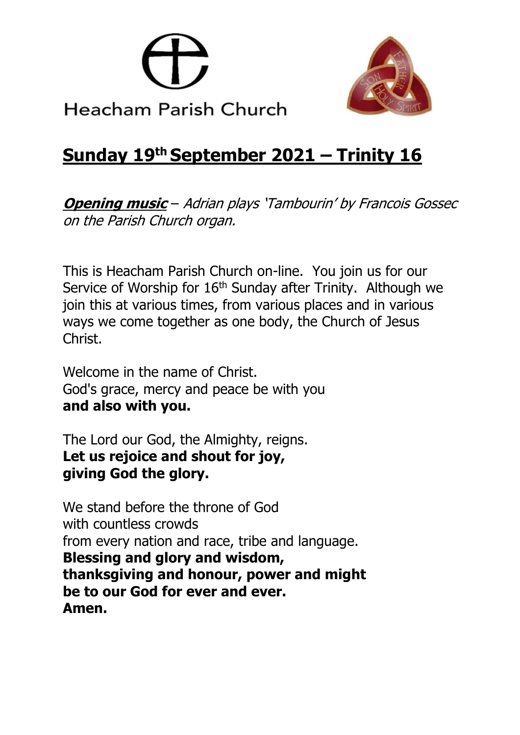



# **Sunday 19 th September 2021 – Trinity 16**

**Opening music** – Adrian plays 'Tambourin' by Francois Gossec on the Parish Church organ.

This is Heacham Parish Church on-line. You join us for our Service of Worship for 16<sup>th</sup> Sunday after Trinity. Although we join this at various times, from various places and in various ways we come together as one body, the Church of Jesus Christ.

Welcome in the name of Christ. God's grace, mercy and peace be with you **and also with you.**

The Lord our God, the Almighty, reigns. **Let us rejoice and shout for joy, giving God the glory.**

We stand before the throne of God with countless crowds from every nation and race, tribe and language. **Blessing and glory and wisdom, thanksgiving and honour, power and might be to our God for ever and ever. Amen.**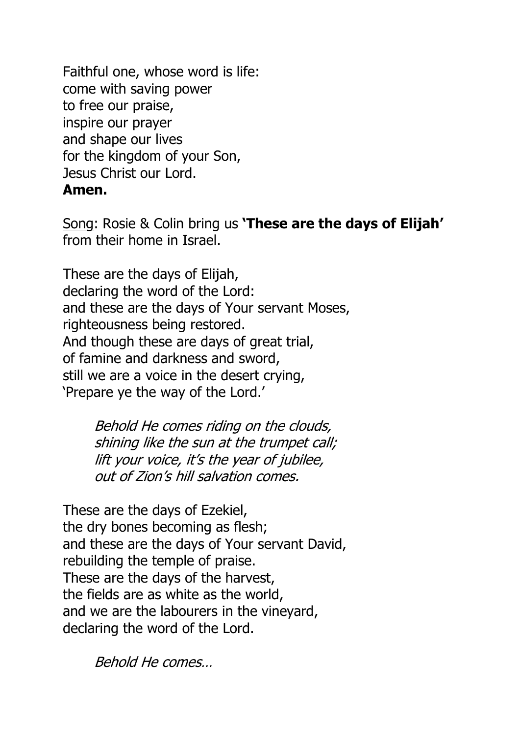Faithful one, whose word is life: come with saving power to free our praise, inspire our prayer and shape our lives for the kingdom of your Son, Jesus Christ our Lord. **Amen.**

Song: Rosie & Colin bring us **'These are the days of Elijah'** from their home in Israel.

These are the days of Elijah, declaring the word of the Lord: and these are the days of Your servant Moses, righteousness being restored. And though these are days of great trial, of famine and darkness and sword, still we are a voice in the desert crying, 'Prepare ye the way of the Lord.'

> Behold He comes riding on the clouds, shining like the sun at the trumpet call; lift your voice, it's the year of jubilee, out of Zion's hill salvation comes.

These are the days of Ezekiel, the dry bones becoming as flesh; and these are the days of Your servant David, rebuilding the temple of praise. These are the days of the harvest, the fields are as white as the world, and we are the labourers in the vineyard, declaring the word of the Lord.

Behold He comes…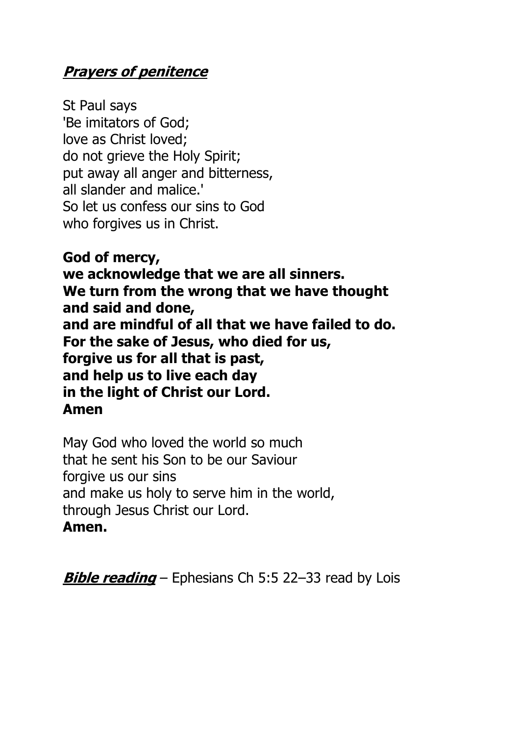# **Prayers of penitence**

St Paul says 'Be imitators of God; love as Christ loved; do not grieve the Holy Spirit; put away all anger and bitterness, all slander and malice.' So let us confess our sins to God who forgives us in Christ.

**God of mercy, we acknowledge that we are all sinners. We turn from the wrong that we have thought and said and done, and are mindful of all that we have failed to do. For the sake of Jesus, who died for us, forgive us for all that is past, and help us to live each day in the light of Christ our Lord. Amen**

May God who loved the world so much that he sent his Son to be our Saviour forgive us our sins and make us holy to serve him in the world, through Jesus Christ our Lord. **Amen.**

**Bible reading** – Ephesians Ch 5:5 22–33 read by Lois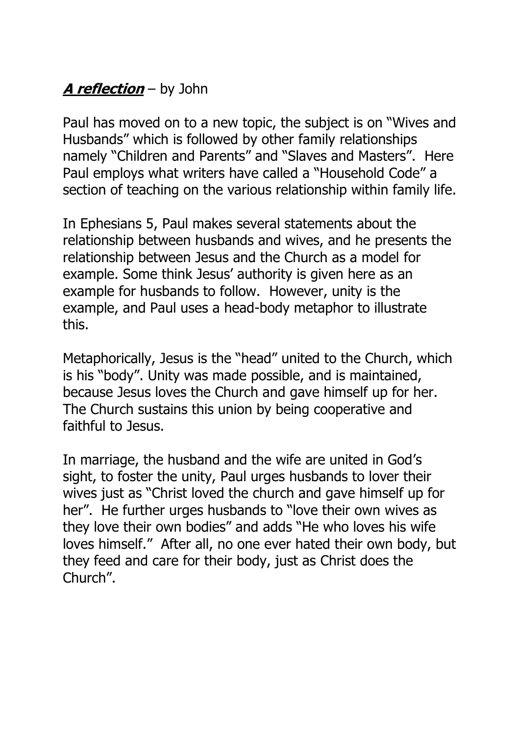# **A reflection** – by John

Paul has moved on to a new topic, the subject is on "Wives and Husbands" which is followed by other family relationships namely "Children and Parents" and "Slaves and Masters". Here Paul employs what writers have called a "Household Code" a section of teaching on the various relationship within family life.

In Ephesians 5, Paul makes several statements about the relationship between husbands and wives, and he presents the relationship between Jesus and the Church as a model for example. Some think Jesus' authority is given here as an example for husbands to follow. However, unity is the example, and Paul uses a head-body metaphor to illustrate this.

Metaphorically, Jesus is the "head" united to the Church, which is his "body". Unity was made possible, and is maintained, because Jesus loves the Church and gave himself up for her. The Church sustains this union by being cooperative and faithful to Jesus.

In marriage, the husband and the wife are united in God's sight, to foster the unity, Paul urges husbands to lover their wives just as "Christ loved the church and gave himself up for her". He further urges husbands to "love their own wives as they love their own bodies" and adds "He who loves his wife loves himself." After all, no one ever hated their own body, but they feed and care for their body, just as Christ does the Church".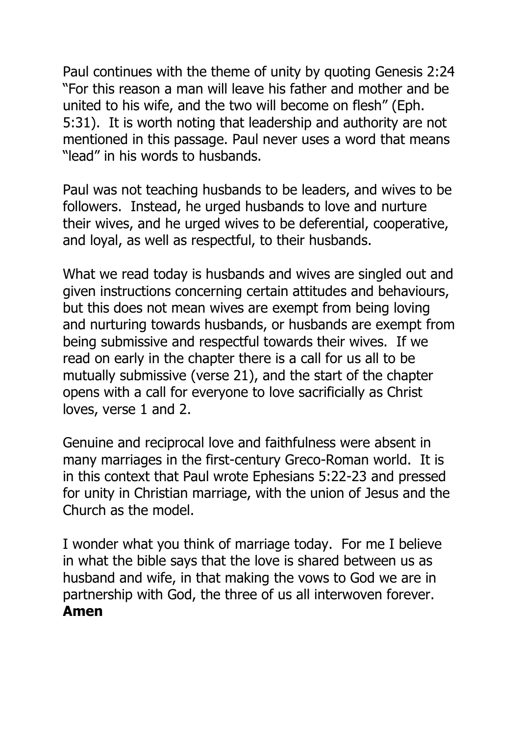Paul continues with the theme of unity by quoting Genesis 2:24 "For this reason a man will leave his father and mother and be united to his wife, and the two will become on flesh" (Eph. 5:31). It is worth noting that leadership and authority are not mentioned in this passage. Paul never uses a word that means "lead" in his words to husbands.

Paul was not teaching husbands to be leaders, and wives to be followers. Instead, he urged husbands to love and nurture their wives, and he urged wives to be deferential, cooperative, and loyal, as well as respectful, to their husbands.

What we read today is husbands and wives are singled out and given instructions concerning certain attitudes and behaviours, but this does not mean wives are exempt from being loving and nurturing towards husbands, or husbands are exempt from being submissive and respectful towards their wives. If we read on early in the chapter there is a call for us all to be mutually submissive (verse 21), and the start of the chapter opens with a call for everyone to love sacrificially as Christ loves, verse 1 and 2.

Genuine and reciprocal love and faithfulness were absent in many marriages in the first-century Greco-Roman world. It is in this context that Paul wrote Ephesians 5:22-23 and pressed for unity in Christian marriage, with the union of Jesus and the Church as the model.

I wonder what you think of marriage today. For me I believe in what the bible says that the love is shared between us as husband and wife, in that making the vows to God we are in partnership with God, the three of us all interwoven forever. **Amen**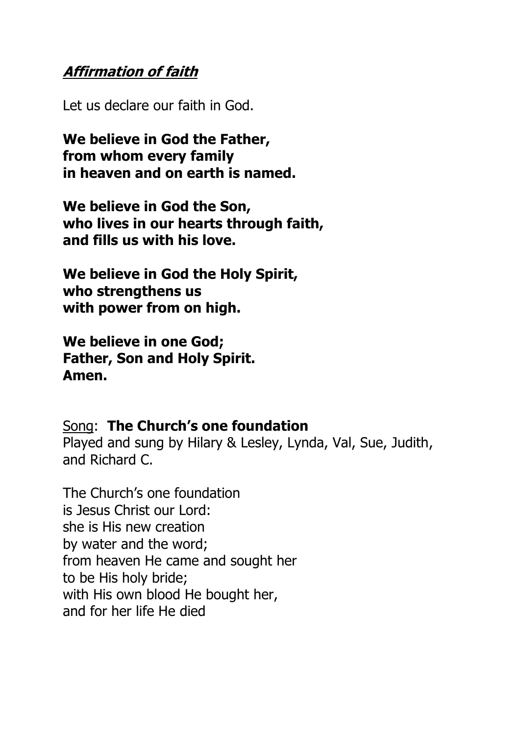### **Affirmation of faith**

Let us declare our faith in God.

**We believe in God the Father, from whom every family in heaven and on earth is named.**

**We believe in God the Son, who lives in our hearts through faith, and fills us with his love.**

**We believe in God the Holy Spirit, who strengthens us with power from on high.**

**We believe in one God; Father, Son and Holy Spirit. Amen.**

Song: **The Church's one foundation**  Played and sung by Hilary & Lesley, Lynda, Val, Sue, Judith, and Richard C.

The Church's one foundation is Jesus Christ our Lord: she is His new creation by water and the word; from heaven He came and sought her to be His holy bride; with His own blood He bought her, and for her life He died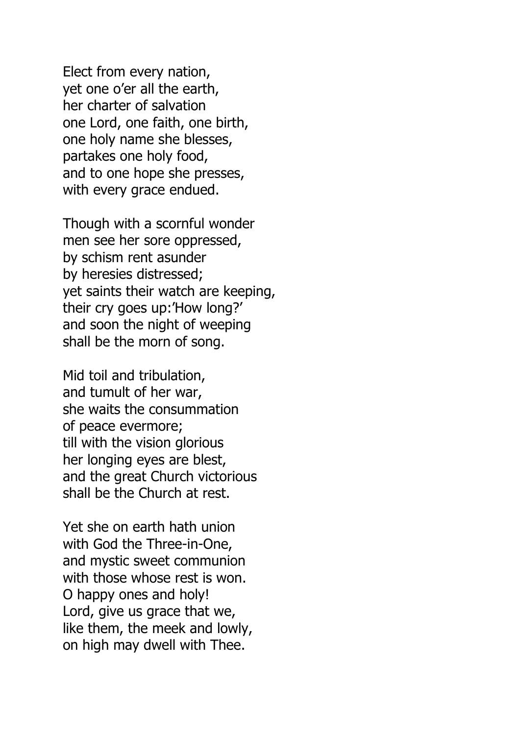Elect from every nation, yet one o'er all the earth, her charter of salvation one Lord, one faith, one birth, one holy name she blesses, partakes one holy food, and to one hope she presses, with every grace endued.

Though with a scornful wonder men see her sore oppressed, by schism rent asunder by heresies distressed; yet saints their watch are keeping, their cry goes up:'How long?' and soon the night of weeping shall be the morn of song.

Mid toil and tribulation, and tumult of her war, she waits the consummation of peace evermore; till with the vision glorious her longing eyes are blest, and the great Church victorious shall be the Church at rest.

Yet she on earth hath union with God the Three-in-One, and mystic sweet communion with those whose rest is won. O happy ones and holy! Lord, give us grace that we, like them, the meek and lowly, on high may dwell with Thee.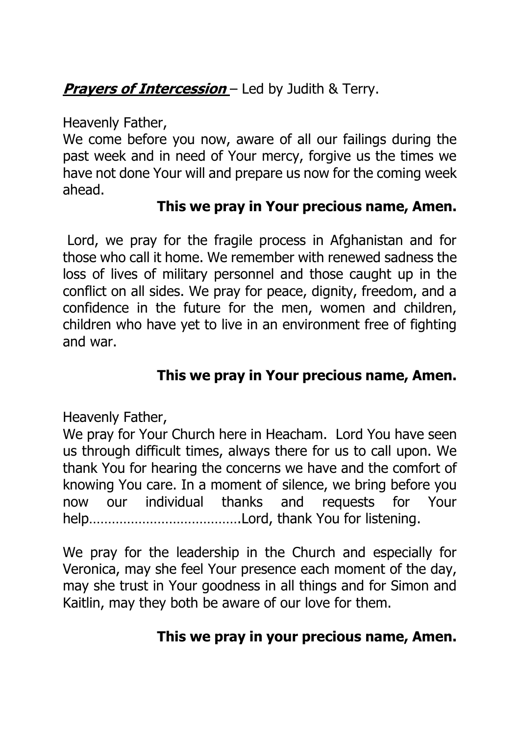**Prayers of Intercession** – Led by Judith & Terry.

Heavenly Father,

We come before you now, aware of all our failings during the past week and in need of Your mercy, forgive us the times we have not done Your will and prepare us now for the coming week ahead.

#### **This we pray in Your precious name, Amen.**

Lord, we pray for the fragile process in Afghanistan and for those who call it home. We remember with renewed sadness the loss of lives of military personnel and those caught up in the conflict on all sides. We pray for peace, dignity, freedom, and a confidence in the future for the men, women and children, children who have yet to live in an environment free of fighting and war.

#### **This we pray in Your precious name, Amen.**

Heavenly Father,

We pray for Your Church here in Heacham. Lord You have seen us through difficult times, always there for us to call upon. We thank You for hearing the concerns we have and the comfort of knowing You care. In a moment of silence, we bring before you now our individual thanks and requests for Your help………………………………….Lord, thank You for listening.

We pray for the leadership in the Church and especially for Veronica, may she feel Your presence each moment of the day, may she trust in Your goodness in all things and for Simon and Kaitlin, may they both be aware of our love for them.

#### **This we pray in your precious name, Amen.**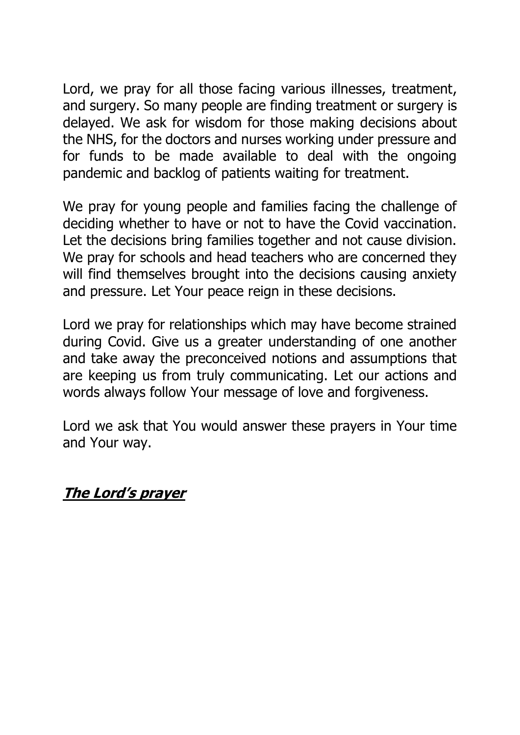Lord, we pray for all those facing various illnesses, treatment, and surgery. So many people are finding treatment or surgery is delayed. We ask for wisdom for those making decisions about the NHS, for the doctors and nurses working under pressure and for funds to be made available to deal with the ongoing pandemic and backlog of patients waiting for treatment.

We pray for young people and families facing the challenge of deciding whether to have or not to have the Covid vaccination. Let the decisions bring families together and not cause division. We pray for schools and head teachers who are concerned they will find themselves brought into the decisions causing anxiety and pressure. Let Your peace reign in these decisions.

Lord we pray for relationships which may have become strained during Covid. Give us a greater understanding of one another and take away the preconceived notions and assumptions that are keeping us from truly communicating. Let our actions and words always follow Your message of love and forgiveness.

Lord we ask that You would answer these prayers in Your time and Your way.

#### **The Lord's prayer**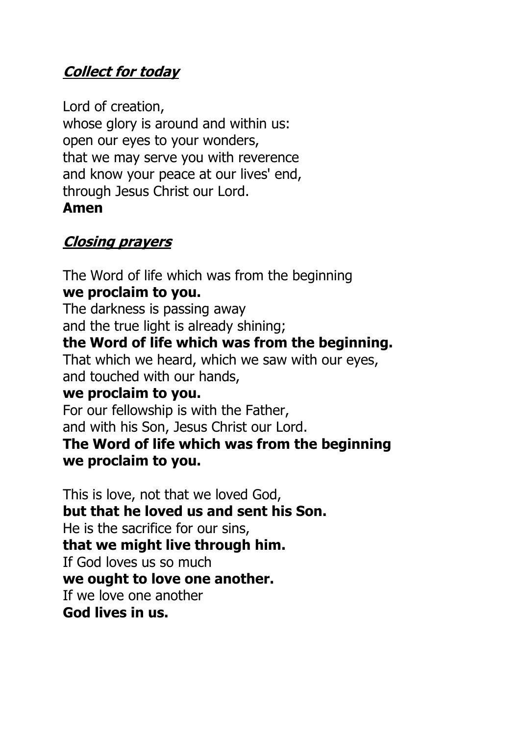# **Collect for today**

Lord of creation, whose glory is around and within us: open our eyes to your wonders, that we may serve you with reverence and know your peace at our lives' end, through Jesus Christ our Lord. **Amen**

# **Closing prayers**

The Word of life which was from the beginning **we proclaim to you.** The darkness is passing away and the true light is already shining; **the Word of life which was from the beginning.** That which we heard, which we saw with our eyes, and touched with our hands, **we proclaim to you.** For our fellowship is with the Father,

and with his Son, Jesus Christ our Lord.

#### **The Word of life which was from the beginning we proclaim to you.**

This is love, not that we loved God, **but that he loved us and sent his Son.** He is the sacrifice for our sins, **that we might live through him.** If God loves us so much **we ought to love one another.** If we love one another **God lives in us.**